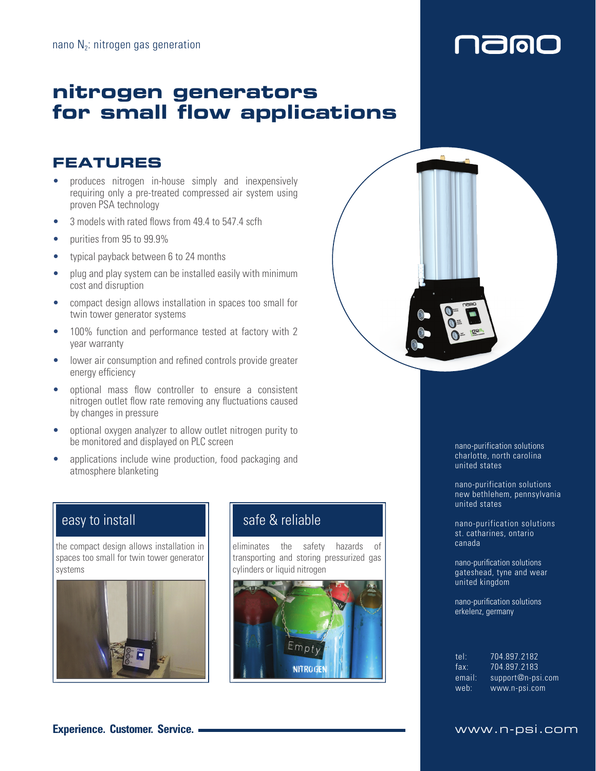## **nitrogen generators for small flow applications**

## **FEATURES**

- produces nitrogen in-house simply and inexpensively requiring only a pre-treated compressed air system using proven PSA technology
- 3 models with rated flows from 49.4 to 547.4 scfh
- purities from 95 to 99.9%
- typical payback between 6 to 24 months
- plug and play system can be installed easily with minimum cost and disruption
- compact design allows installation in spaces too small for twin tower generator systems
- 100% function and performance tested at factory with 2 year warranty
- lower air consumption and refined controls provide greater energy efficiency
- optional mass flow controller to ensure a consistent nitrogen outlet flow rate removing any fluctuations caused by changes in pressure
- optional oxygen analyzer to allow outlet nitrogen purity to be monitored and displayed on PLC screen
- applications include wine production, food packaging and atmosphere blanketing

## easy to install

the compact design allows installation in spaces too small for twin tower generator systems



## safe & reliable

eliminates the safety hazards of transporting and storing pressurized gas cylinders or liquid nitrogen





naigi

nano-purification solutions charlotte, north carolina united states

nano-purification solutions new bethlehem, pennsylvania united states

nano-purification solutions st. catharines, ontario canada

nano-purification solutions gateshead, tyne and wear united kingdom

nano-purification solutions erkelenz, germany

| tel:   | 704.897.2182      |
|--------|-------------------|
| fax:   | 704.897.2183      |
| email: | support@n-psi.com |
| web:   | www.n-psi.com     |

### **Experience. Customer. Service.** www.n-psi.com